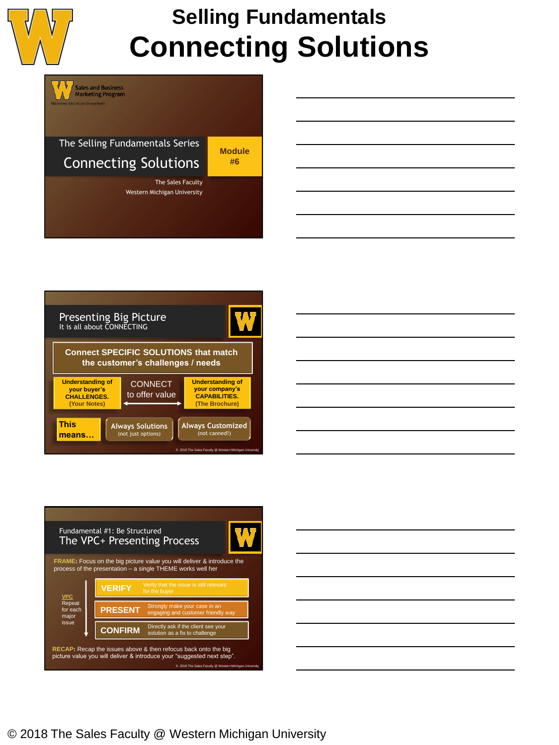

# **Selling Fundamentals Connecting Solutions**









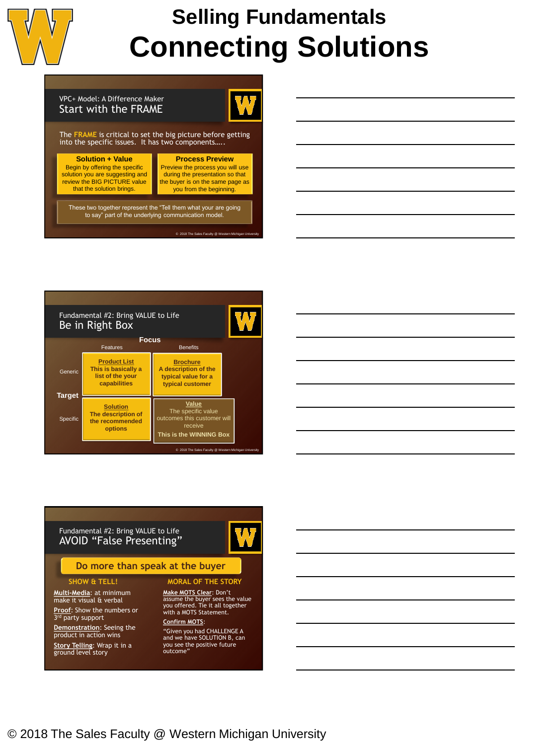

# **Selling Fundamentals Connecting Solutions**

### VPC+ Model: A Difference Maker Start with the FRAME



The **FRAME** is critical to set the big picture before getting into the specific issues. It has two components…..

#### **Solution + Value**

Begin by offering the specific solution you are suggesting and review the BIG PICTURE value that the solution brings.



© 2018 The Sales Faculty @ W

These two together represent the "Tell them what your are going to say" part of the underlying communication model.

#### **Product List This is basically a list of the your capabilities Brochure A description of the typical value for a typical customer Solution The description of the recommended options Value** The specific value omes this customer will receive **This is the WINNING Box Focus** Features **Benefits** Generic **Target** Specific Fundamental #2: Bring VALUE to Life Be in Right Box © 2018 The Sales F



# Fundamental #2: Bring VALUE to Life AVOID "False Presenting"

## **Do more than speak at the buyer**

### **SHOW & TELL!**

**Multi-Media**: at minimum make it visual & verbal

**Proof**: Show the numbers or 3<sup>rd</sup> party support

**Demonstration**: Seeing the product in action wins **Story Telling**: Wrap it in a ground level story

#### **MORAL OF THE STORY**

 $\Lambda$ 

**Make MOTS Clear**: Don't assume the buyer sees the value you offered. Tie it all together with a MOTS Statement. **Confirm MOTS**:

"Given you had CHALLENGE A and we have SOLUTION B, can you see the positive future outcome"